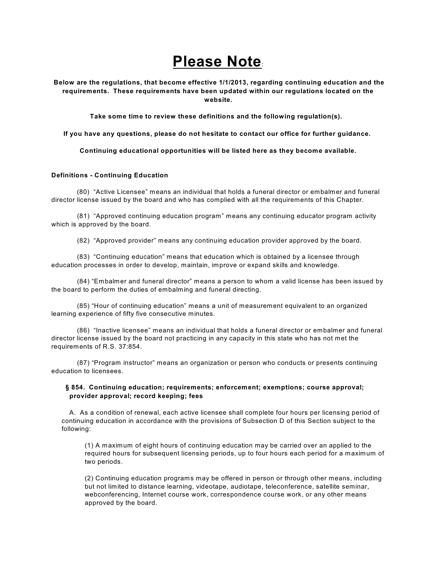## **Please Note**:

**Below are the regulations, that become effective 1/1/2013, regarding continuing education and the requirements. These requirements have been updated within our regulations located on the website.**

**Take some time to review these definitions and the following regulation(s).**

**If you have any questions, please do not hesitate to contact our office for further guidance.**

**Continuing educational opportunities will be listed here as they become available.**

## **Definitions - Continuing Education**

(80) "Active Licensee" means an individual that holds a funeral director or embalmer and funeral director license issued by the board and who has complied with all the requirements of this Chapter.

(81) "Approved continuing education program" means any continuing educator program activity which is approved by the board.

(82) "Approved provider" means any continuing education provider approved by the board.

(83) "Continuing education" means that education which is obtained by a licensee through education processes in order to develop, maintain, improve or expand skills and knowledge.

(84) "Embalmer and funeral director" means a person to whom a valid license has been issued by the board to perform the duties of embalming and funeral directing.

(85) "Hour of continuing education" means a unit of measurement equivalent to an organized learning experience of fifty five consecutive minutes.

(86) "Inactive licensee" means an individual that holds a funeral director or embalmer and funeral director license issued by the board not practicing in any capacity in this state who has not met the requirements of R.S. 37:854.

(87) "Program instructor" means an organization or person who conducts or presents continuing education to licensees.

## **§ 854. Continuing education; requirements; enforcement; exemptions; course approval; provider approval; record keeping; fees**

A. As a condition of renewal, each active licensee shall complete four hours per licensing period of continuing education in accordance with the provisions of Subsection D of this Section subject to the following:

(1) A maximum of eight hours of continuing education may be carried over an applied to the required hours for subsequent licensing periods, up to four hours each period for a maximum of two periods.

(2) Continuing education programs may be offered in person or through other means, including but not limited to distance learning, videotape, audiotape, teleconference, satellite seminar, webconferencing, Internet course work, correspondence course work, or any other means approved by the board.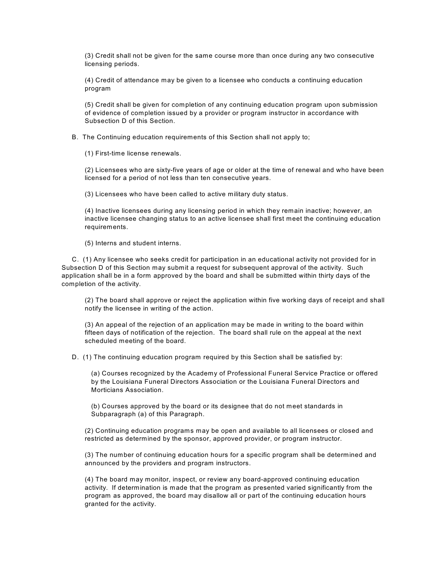(3) Credit shall not be given for the same course more than once during any two consecutive licensing periods.

(4) Credit of attendance may be given to a licensee who conducts a continuing education program

(5) Credit shall be given for completion of any continuing education program upon submission of evidence of completion issued by a provider or program instructor in accordance with Subsection D of this Section.

B. The Continuing education requirements of this Section shall not apply to;

(1) First-time license renewals.

(2) Licensees who are sixty-five years of age or older at the time of renewal and who have been licensed for a period of not less than ten consecutive years.

(3) Licensees who have been called to active military duty status.

(4) Inactive licensees during any licensing period in which they remain inactive; however, an inactive licensee changing status to an active licensee shall first meet the continuing education requirements.

(5) Interns and student interns.

C. (1) Any licensee who seeks credit for participation in an educational activity not provided for in Subsection D of this Section may submit a request for subsequent approval of the activity. Such application shall be in a form approved by the board and shall be submitted within thirty days of the completion of the activity.

(2) The board shall approve or reject the application within five working days of receipt and shall notify the licensee in writing of the action.

(3) An appeal of the rejection of an application may be made in writing to the board within fifteen days of notification of the rejection. The board shall rule on the appeal at the next scheduled meeting of the board.

D. (1) The continuing education program required by this Section shall be satisfied by:

(a) Courses recognized by the Academy of Professional Funeral Service Practice or offered by the Louisiana Funeral Directors Association or the Louisiana Funeral Directors and Morticians Association.

(b) Courses approved by the board or its designee that do not meet standards in Subparagraph (a) of this Paragraph.

(2) Continuing education programs may be open and available to all licensees or closed and restricted as determined by the sponsor, approved provider, or program instructor.

(3) The number of continuing education hours for a specific program shall be determined and announced by the providers and program instructors.

(4) The board may monitor, inspect, or review any board-approved continuing education activity. If determination is made that the program as presented varied significantly from the program as approved, the board may disallow all or part of the continuing education hours granted for the activity.